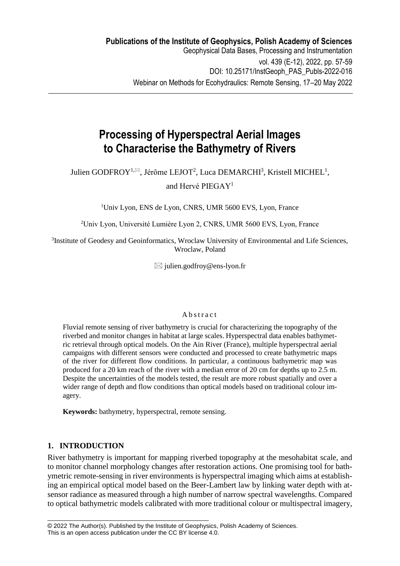# **Processing of Hyperspectral Aerial Images to Characterise the Bathymetry of Rivers**

Julien GODFROY<sup>1, $\boxtimes$ </sup>, Jérôme LEJOT<sup>2</sup>, Luca DEMARCHI<sup>3</sup>, Kristell MICHEL<sup>1</sup>,

and Hervé PIEGAY<sup>1</sup>

<sup>1</sup>Univ Lyon, ENS de Lyon, CNRS, UMR 5600 EVS, Lyon, France

<sup>2</sup>Univ Lyon, Université Lumière Lyon 2, CNRS, UMR 5600 EVS, Lyon, France

<sup>3</sup>Institute of Geodesy and Geoinformatics, Wroclaw University of Environmental and Life Sciences, Wroclaw, Poland

 $\boxtimes$  julien.godfroy@ens-lyon.fr

### A b s t r a c t

Fluvial remote sensing of river bathymetry is crucial for characterizing the topography of the riverbed and monitor changes in habitat at large scales. Hyperspectral data enables bathymetric retrieval through optical models. On the Ain River (France), multiple hyperspectral aerial campaigns with different sensors were conducted and processed to create bathymetric maps of the river for different flow conditions. In particular, a continuous bathymetric map was produced for a 20 km reach of the river with a median error of 20 cm for depths up to 2.5 m. Despite the uncertainties of the models tested, the result are more robust spatially and over a wider range of depth and flow conditions than optical models based on traditional colour imagery.

**Keywords:** bathymetry, hyperspectral, remote sensing.

\_\_\_\_\_\_\_\_\_\_\_\_\_\_\_\_\_\_\_\_\_\_\_\_\_\_\_\_\_\_\_\_\_\_\_\_\_\_\_\_\_\_\_\_\_\_\_\_

## **1. INTRODUCTION**

River bathymetry is important for mapping riverbed topography at the mesohabitat scale, and to monitor channel morphology changes after restoration actions. One promising tool for bathymetric remote-sensing in river environments is hyperspectral imaging which aims at establishing an empirical optical model based on the Beer-Lambert law by linking water depth with atsensor radiance as measured through a high number of narrow spectral wavelengths. Compared to optical bathymetric models calibrated with more traditional colour or multispectral imagery,

<sup>© 2022</sup> The Author(s). Published by the Institute of Geophysics, Polish Academy of Sciences. This is an open access publication under the CC BY license 4.0.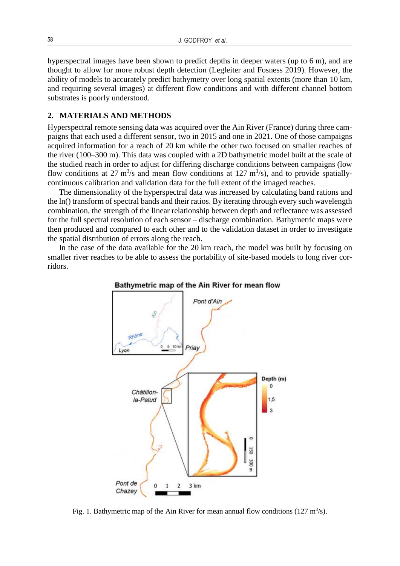hyperspectral images have been shown to predict depths in deeper waters (up to 6 m), and are thought to allow for more robust depth detection (Legleiter and Fosness 2019). However, the ability of models to accurately predict bathymetry over long spatial extents (more than 10 km, and requiring several images) at different flow conditions and with different channel bottom substrates is poorly understood.

### **2. MATERIALS AND METHODS**

Hyperspectral remote sensing data was acquired over the Ain River (France) during three campaigns that each used a different sensor, two in 2015 and one in 2021. One of those campaigns acquired information for a reach of 20 km while the other two focused on smaller reaches of the river (100–300 m). This data was coupled with a 2D bathymetric model built at the scale of the studied reach in order to adjust for differing discharge conditions between campaigns (low flow conditions at 27 m<sup>3</sup>/s and mean flow conditions at 127 m<sup>3</sup>/s), and to provide spatiallycontinuous calibration and validation data for the full extent of the imaged reaches.

The dimensionality of the hyperspectral data was increased by calculating band rations and the ln() transform of spectral bands and their ratios. By iterating through every such wavelength combination, the strength of the linear relationship between depth and reflectance was assessed for the full spectral resolution of each sensor – discharge combination. Bathymetric maps were then produced and compared to each other and to the validation dataset in order to investigate the spatial distribution of errors along the reach.

In the case of the data available for the 20 km reach, the model was built by focusing on smaller river reaches to be able to assess the portability of site-based models to long river corridors.



Bathymetric map of the Ain River for mean flow

Fig. 1. Bathymetric map of the Ain River for mean annual flow conditions ( $127 \text{ m}^3/\text{s}$ ).